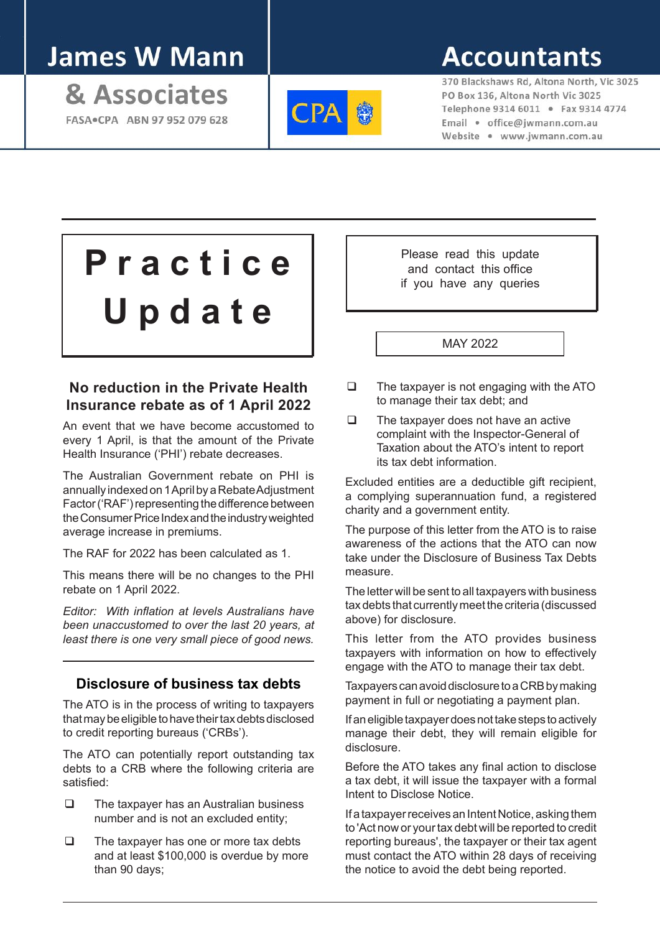## **James W Mann**

& Associates FASA . CPA ABN 97 952 079 628



# **Accountants**

370 Blackshaws Rd. Altona North, Vic 3025 PO Box 136, Altona North Vic 3025 Telephone 9314 6011 . Fax 9314 4774 Email · office@iwmann.com.au Website . www.jwmann.com.au

**P r a c t i c e U p d a t e**

### **No reduction in the Private Health Insurance rebate as of 1 April 2022**

An event that we have become accustomed to every 1 April, is that the amount of the Private Health Insurance ('PHI') rebate decreases.

The Australian Government rebate on PHI is annually indexed on 1 April by a Rebate Adjustment Factor ('RAF') representing the difference between the Consumer Price Index and the industry weighted average increase in premiums.

The RAF for 2022 has been calculated as 1.

This means there will be no changes to the PHI rebate on 1 April 2022.

*Editor: With inflation at levels Australians have been unaccustomed to over the last 20 years, at least there is one very small piece of good news.* 

## **Disclosure of business tax debts**

The ATO is in the process of writing to taxpayers that may be eligible to have their tax debts disclosed to credit reporting bureaus ('CRBs').

The ATO can potentially report outstanding tax debts to a CRB where the following criteria are satisfied:

- $\Box$  The taxpayer has an Australian business number and is not an excluded entity;
- $\Box$  The taxpayer has one or more tax debts and at least \$100,000 is overdue by more than 90 days;

Please read this update and contact this office if you have any queries

MAY 2022

- $\Box$  The taxpayer is not engaging with the ATO to manage their tax debt; and
- $\Box$  The taxpayer does not have an active complaint with the Inspector-General of Taxation about the ATO's intent to report its tax debt information.

Excluded entities are a deductible gift recipient. a complying superannuation fund, a registered charity and a government entity.

The purpose of this letter from the ATO is to raise awareness of the actions that the ATO can now take under the Disclosure of Business Tax Debts measure.

The letter will be sent to all taxpayers with business tax debts that currently meet the criteria (discussed above) for disclosure.

This letter from the ATO provides business taxpayers with information on how to effectively engage with the ATO to manage their tax debt.

Taxpayers can avoid disclosure to a CRB by making payment in full or negotiating a payment plan.

If an eligible taxpayer does not take steps to actively manage their debt, they will remain eligible for disclosure.

Before the ATO takes any final action to disclose a tax debt, it will issue the taxpayer with a formal Intent to Disclose Notice.

If a taxpayer receives an Intent Notice, asking them to 'Act now or your tax debt will be reported to credit reporting bureaus', the taxpayer or their tax agent must contact the ATO within 28 days of receiving the notice to avoid the debt being reported.